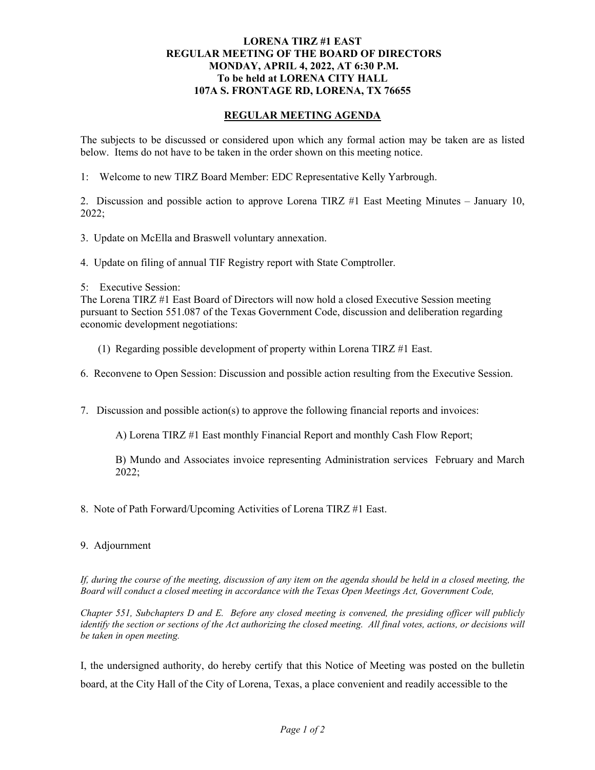## **LORENA TIRZ #1 EAST REGULAR MEETING OF THE BOARD OF DIRECTORS MONDAY, APRIL 4, 2022, AT 6:30 P.M. To be held at LORENA CITY HALL 107A S. FRONTAGE RD, LORENA, TX 76655**

## **REGULAR MEETING AGENDA**

The subjects to be discussed or considered upon which any formal action may be taken are as listed below. Items do not have to be taken in the order shown on this meeting notice.

1: Welcome to new TIRZ Board Member: EDC Representative Kelly Yarbrough.

2. Discussion and possible action to approve Lorena TIRZ #1 East Meeting Minutes – January 10, 2022;

3. Update on McElla and Braswell voluntary annexation.

4. Update on filing of annual TIF Registry report with State Comptroller.

5: Executive Session:

The Lorena TIRZ #1 East Board of Directors will now hold a closed Executive Session meeting pursuant to Section 551.087 of the Texas Government Code, discussion and deliberation regarding economic development negotiations:

(1) Regarding possible development of property within Lorena TIRZ #1 East.

6. Reconvene to Open Session: Discussion and possible action resulting from the Executive Session.

7. Discussion and possible action(s) to approve the following financial reports and invoices:

A) Lorena TIRZ #1 East monthly Financial Report and monthly Cash Flow Report;

B) Mundo and Associates invoice representing Administration services February and March 2022;

8. Note of Path Forward/Upcoming Activities of Lorena TIRZ #1 East.

## 9. Adjournment

*If, during the course of the meeting, discussion of any item on the agenda should be held in a closed meeting, the Board will conduct a closed meeting in accordance with the Texas Open Meetings Act, Government Code,* 

*Chapter 551, Subchapters D and E. Before any closed meeting is convened, the presiding officer will publicly identify the section or sections of the Act authorizing the closed meeting. All final votes, actions, or decisions will be taken in open meeting.*

I, the undersigned authority, do hereby certify that this Notice of Meeting was posted on the bulletin board, at the City Hall of the City of Lorena, Texas, a place convenient and readily accessible to the